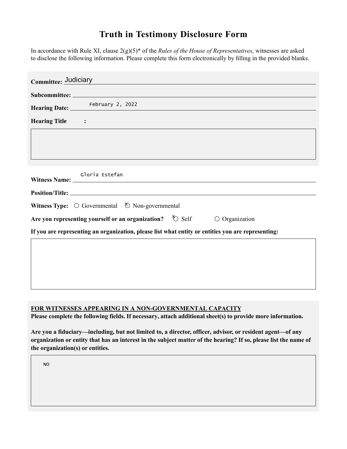## **Truth in Testimony Disclosure Form**

In accordance with Rule XI, clause 2(g)(5)\* of the *Rules of the House of Representatives*, witnesses are asked to disclose the following information. Please complete this form electronically by filling in the provided blanks.

| Committee: Judiciary                                                                               |                         |
|----------------------------------------------------------------------------------------------------|-------------------------|
|                                                                                                    |                         |
| Hearing Date: February 2, 2022                                                                     |                         |
| <b>Hearing Title :</b>                                                                             |                         |
|                                                                                                    |                         |
|                                                                                                    |                         |
|                                                                                                    |                         |
| Gloria Estefan                                                                                     |                         |
|                                                                                                    |                         |
| Witness Type: $\bigcirc$ Governmental $\bigcirc$ Non-governmental                                  |                         |
| Are you representing yourself or an organization? $\&$ Self                                        | $\bigcirc$ Organization |
| If you are representing an organization, please list what entity or entities you are representing: |                         |
|                                                                                                    |                         |
|                                                                                                    |                         |
|                                                                                                    |                         |
|                                                                                                    |                         |

**FOR WITNESSES APPEARING IN A NON-GOVERNMENTAL CAPACITY**

**Please complete the following fields. If necessary, attach additional sheet(s) to provide more information.**

**Are you a fiduciary—including, but not limited to, a director, officer, advisor, or resident agent—of any organization or entity that has an interest in the subject matter of the hearing? If so, please list the name of the organization(s) or entities.**

NO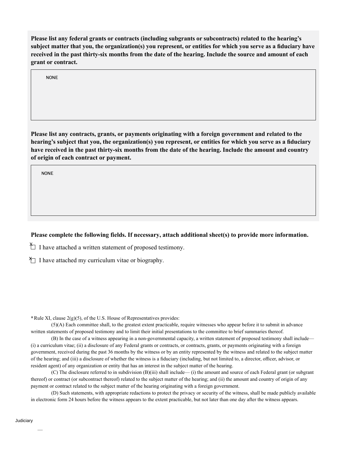**Please list any federal grants or contracts (including subgrants or subcontracts) related to the hearing's subject matter that you, the organization(s) you represent, or entities for which you serve as a fiduciary have received in the past thirty-six months from the date of the hearing. Include the source and amount of each grant or contract.** 

NONE

**Please list any contracts, grants, or payments originating with a foreign government and related to the hearing's subject that you, the organization(s) you represent, or entities for which you serve as a fiduciary have received in the past thirty-six months from the date of the hearing. Include the amount and country of origin of each contract or payment.** 

NONE

## **Please complete the following fields. If necessary, attach additional sheet(s) to provide more information.**

 $\uparrow$  I have attached a written statement of proposed testimony.

 $\sum$  I have attached my curriculum vitae or biography.

**\***Rule XI, clause 2(g)(5), of the U.S. House of Representatives provides:

(5)(A) Each committee shall, to the greatest extent practicable, require witnesses who appear before it to submit in advance written statements of proposed testimony and to limit their initial presentations to the committee to brief summaries thereof.

(B) In the case of a witness appearing in a non-governmental capacity, a written statement of proposed testimony shall include— (i) a curriculum vitae; (ii) a disclosure of any Federal grants or contracts, or contracts, grants, or payments originating with a foreign government, received during the past 36 months by the witness or by an entity represented by the witness and related to the subject matter of the hearing; and (iii) a disclosure of whether the witness is a fiduciary (including, but not limited to, a director, officer, advisor, or resident agent) of any organization or entity that has an interest in the subject matter of the hearing.

(C) The disclosure referred to in subdivision (B)(iii) shall include— (i) the amount and source of each Federal grant (or subgrant thereof) or contract (or subcontract thereof) related to the subject matter of the hearing; and (ii) the amount and country of origin of any payment or contract related to the subject matter of the hearing originating with a foreign government.

(D) Such statements, with appropriate redactions to protect the privacy or security of the witness, shall be made publicly available in electronic form 24 hours before the witness appears to the extent practicable, but not later than one day after the witness appears.

—